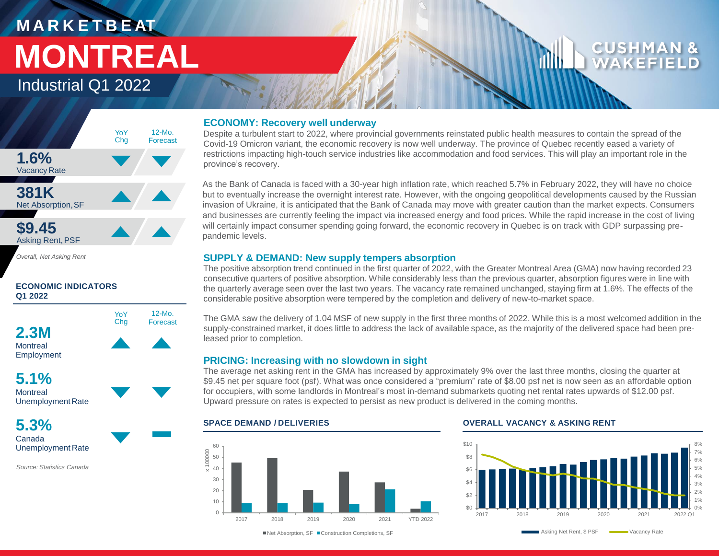# **M A R K E T B E AT MONTREAL**

## Industrial Q1 2022



*Overall, Net Asking Rent*

### **ECONOMIC INDICATORS Q1 2022**



**Montreal** Employment

**5.1% Montreal** UnemploymentRate

**5.3%** Canada Unemployment Rate

*Source: Statistics Canada*

### **ECONOMY: Recovery well underway**

Despite a turbulent start to 2022, where provincial governments reinstated public health measures to contain the spread of the Covid-19 Omicron variant, the economic recovery is now well underway. The province of Quebec recently eased a variety of restrictions impacting high-touch service industries like accommodation and food services. This will play an important role in the province's recovery.

As the Bank of Canada is faced with a 30-year high inflation rate, which reached 5.7% in February 2022, they will have no choice but to eventually increase the overnight interest rate. However, with the ongoing geopolitical developments caused by the Russian invasion of Ukraine, it is anticipated that the Bank of Canada may move with greater caution than the market expects. Consumers and businesses are currently feeling the impact via increased energy and food prices. While the rapid increase in the cost of living will certainly impact consumer spending going forward, the economic recovery in Quebec is on track with GDP surpassing prepandemic levels.

### **SUPPLY & DEMAND: New supply tempers absorption**

The positive absorption trend continued in the first quarter of 2022, with the Greater Montreal Area (GMA) now having recorded 23 consecutive quarters of positive absorption. While considerably less than the previous quarter, absorption figures were in line with the quarterly average seen over the last two years. The vacancy rate remained unchanged, staying firm at 1.6%. The effects of the considerable positive absorption were tempered by the completion and delivery of new-to-market space.

The GMA saw the delivery of 1.04 MSF of new supply in the first three months of 2022. While this is a most welcomed addition in the supply-constrained market, it does little to address the lack of available space, as the majority of the delivered space had been preleased prior to completion.

### **PRICING: Increasing with no slowdown in sight**

The average net asking rent in the GMA has increased by approximately 9% over the last three months, closing the quarter at \$9.45 net per square foot (psf). What was once considered a "premium" rate of \$8.00 psf net is now seen as an affordable option for occupiers, with some landlords in Montreal's most in-demand submarkets quoting net rental rates upwards of \$12.00 psf. Upward pressure on rates is expected to persist as new product is delivered in the coming months.



■Net Absorption, SF ■ Construction Completions, SF

### **SPACE DEMAND / DELIVERIES OVERALL VACANCY & ASKING RENT**



Asking Net Rent, \$ PSF Wacancy Rate